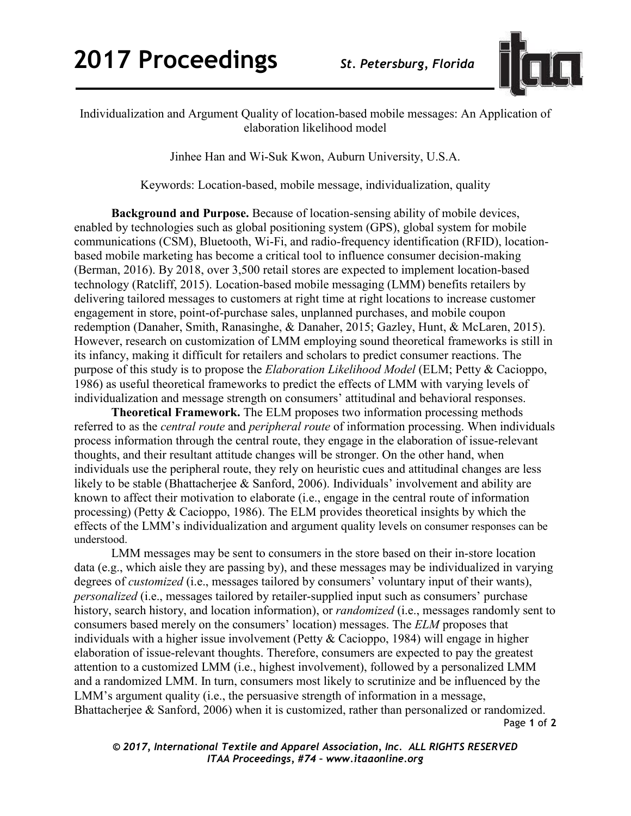

Individualization and Argument Quality of location-based mobile messages: An Application of elaboration likelihood model

Jinhee Han and Wi-Suk Kwon, Auburn University, U.S.A.

Keywords: Location-based, mobile message, individualization, quality

**Background and Purpose.** Because of location-sensing ability of mobile devices, enabled by technologies such as global positioning system (GPS), global system for mobile communications (CSM), Bluetooth, Wi-Fi, and radio-frequency identification (RFID), locationbased mobile marketing has become a critical tool to influence consumer decision-making (Berman, 2016). By 2018, over 3,500 retail stores are expected to implement location-based technology (Ratcliff, 2015). Location-based mobile messaging (LMM) benefits retailers by delivering tailored messages to customers at right time at right locations to increase customer engagement in store, point-of-purchase sales, unplanned purchases, and mobile coupon redemption (Danaher, Smith, Ranasinghe, & Danaher, 2015; Gazley, Hunt, & McLaren, 2015). However, research on customization of LMM employing sound theoretical frameworks is still in its infancy, making it difficult for retailers and scholars to predict consumer reactions. The purpose of this study is to propose the *Elaboration Likelihood Model* (ELM; Petty & Cacioppo, 1986) as useful theoretical frameworks to predict the effects of LMM with varying levels of individualization and message strength on consumers' attitudinal and behavioral responses.

**Theoretical Framework.** The ELM proposes two information processing methods referred to as the *central route* and *peripheral route* of information processing. When individuals process information through the central route, they engage in the elaboration of issue-relevant thoughts, and their resultant attitude changes will be stronger. On the other hand, when individuals use the peripheral route, they rely on heuristic cues and attitudinal changes are less likely to be stable (Bhattacherjee & Sanford, 2006). Individuals' involvement and ability are known to affect their motivation to elaborate (i.e., engage in the central route of information processing) (Petty & Cacioppo, 1986). The ELM provides theoretical insights by which the effects of the LMM's individualization and argument quality levels on consumer responses can be understood.

Page **1** of **2** LMM messages may be sent to consumers in the store based on their in-store location data (e.g., which aisle they are passing by), and these messages may be individualized in varying degrees of *customized* (i.e., messages tailored by consumers' voluntary input of their wants), *personalized* (i.e., messages tailored by retailer-supplied input such as consumers' purchase history, search history, and location information), or *randomized* (i.e., messages randomly sent to consumers based merely on the consumers' location) messages. The *ELM* proposes that individuals with a higher issue involvement (Petty & Cacioppo, 1984) will engage in higher elaboration of issue-relevant thoughts. Therefore, consumers are expected to pay the greatest attention to a customized LMM (i.e., highest involvement), followed by a personalized LMM and a randomized LMM. In turn, consumers most likely to scrutinize and be influenced by the LMM's argument quality (i.e., the persuasive strength of information in a message, Bhattacherjee & Sanford, 2006) when it is customized, rather than personalized or randomized.

*© 2017, International Textile and Apparel Association, Inc. ALL RIGHTS RESERVED ITAA Proceedings, #74 – www.itaaonline.org*